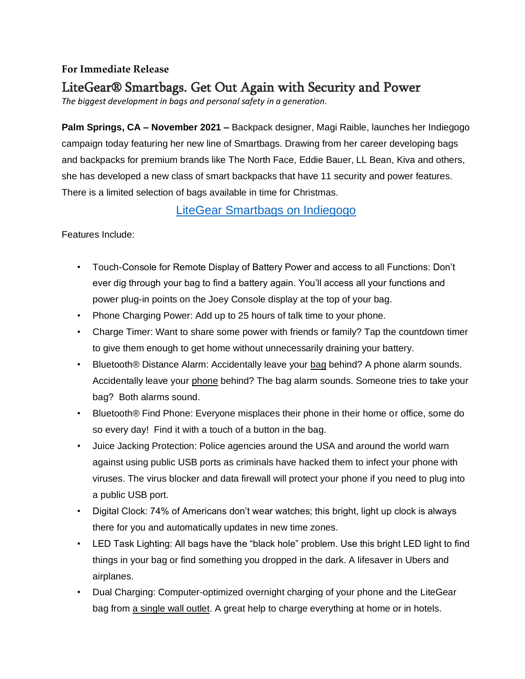## **For Immediate Release** LiteGear® Smartbags. Get Out Again with Security and Power *The biggest development in bags and personal safety in a generation.*

**Palm Springs, CA – November 2021 –** Backpack designer, Magi Raible, launches her Indiegogo campaign today featuring her new line of Smartbags. Drawing from her career developing bags and backpacks for premium brands like The North Face, Eddie Bauer, LL Bean, Kiva and others, she has developed a new class of smart backpacks that have 11 security and power features. There is a limited selection of bags available in time for Christmas.

[LiteGear Smartbags on Indiegogo](https://www.indiegogo.com/projects/litegear-smartbags-power-security-you-need-now/x/27677616#/)

Features Include:

- Touch-Console for Remote Display of Battery Power and access to all Functions: Don't ever dig through your bag to find a battery again. You'll access all your functions and power plug-in points on the Joey Console display at the top of your bag.
- Phone Charging Power: Add up to 25 hours of talk time to your phone.
- Charge Timer: Want to share some power with friends or family? Tap the countdown timer to give them enough to get home without unnecessarily draining your battery.
- Bluetooth® Distance Alarm: Accidentally leave your bag behind? A phone alarm sounds. Accidentally leave your phone behind? The bag alarm sounds. Someone tries to take your bag? Both alarms sound.
- Bluetooth® Find Phone: Everyone misplaces their phone in their home or office, some do so every day! Find it with a touch of a button in the bag.
- Juice Jacking Protection: Police agencies around the USA and around the world warn against using public USB ports as criminals have hacked them to infect your phone with viruses. The virus blocker and data firewall will protect your phone if you need to plug into a public USB port.
- Digital Clock: 74% of Americans don't wear watches; this bright, light up clock is always there for you and automatically updates in new time zones.
- LED Task Lighting: All bags have the "black hole" problem. Use this bright LED light to find things in your bag or find something you dropped in the dark. A lifesaver in Ubers and airplanes.
- Dual Charging: Computer-optimized overnight charging of your phone and the LiteGear bag from a single wall outlet. A great help to charge everything at home or in hotels.